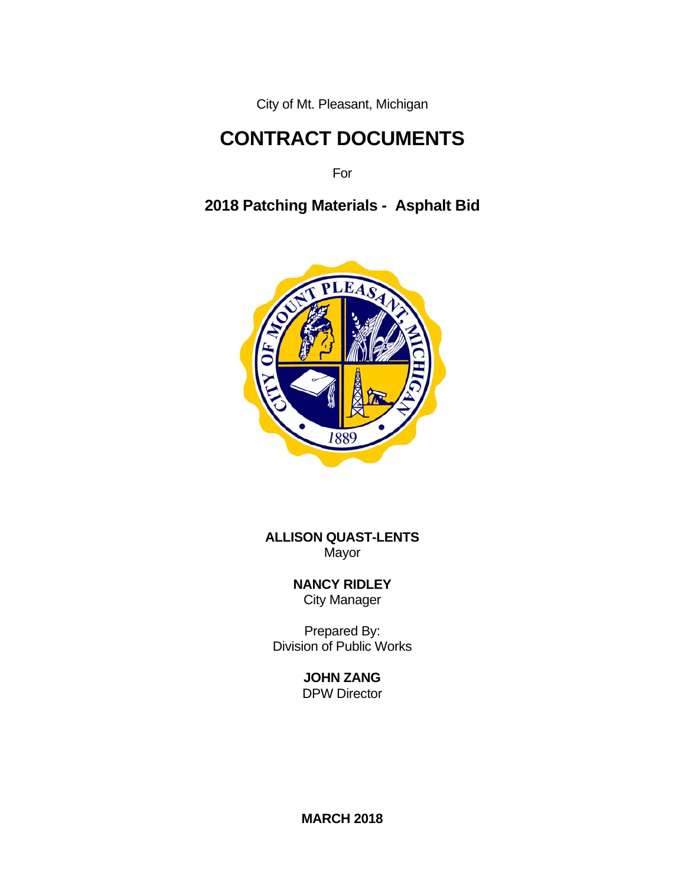City of Mt. Pleasant, Michigan

# **CONTRACT DOCUMENTS**

**Formal Contract of the State State State State State State State State State State State State State State State State State State State State State State State State State State State State State State State State State** 

**2018 Patching Materials - Asphalt Bid**



**ALLISON QUAST-LENTS**  Mayor

> **NANCY RIDLEY** City Manager

 Prepared By: Division of Public Works

> **JOHN ZANG** DPW Director

> **MARCH 2018**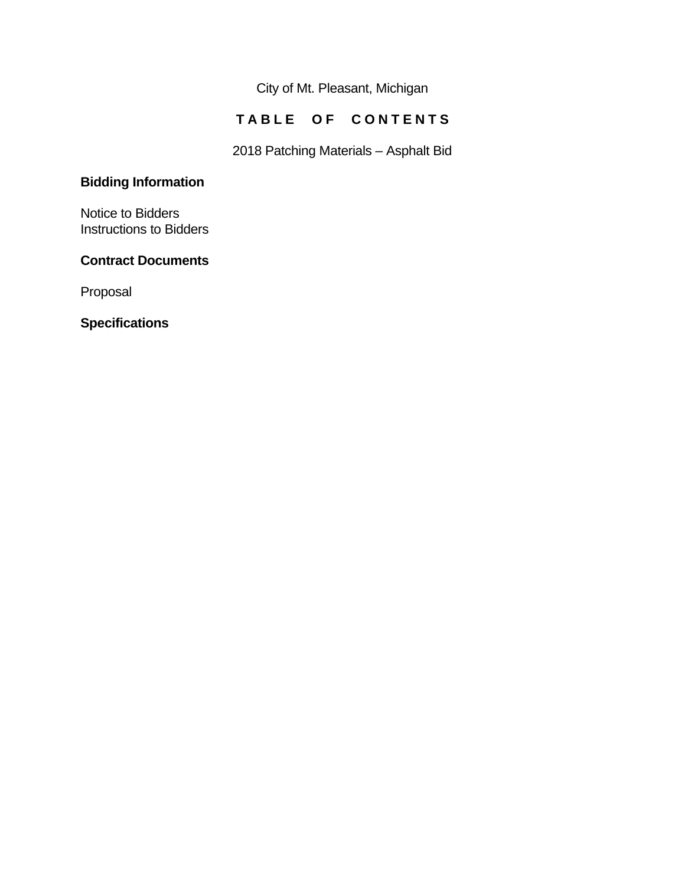City of Mt. Pleasant, Michigan

# **TABLE OF CONTENTS**

2018 Patching Materials – Asphalt Bid

# **Bidding Information**

Notice to Bidders Instructions to Bidders

# **Contract Documents**

Proposal

**Specifications**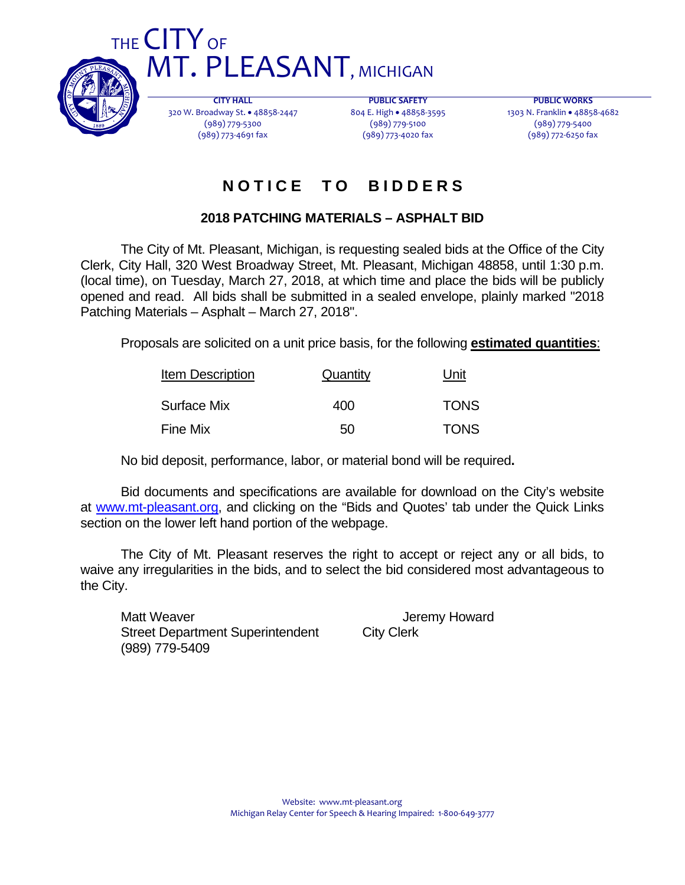

THE CITY OF **MT. PLEASANT, MICHIGAN** 

> **CITY HALL** 320 W. Broadway St. . 48858-2447 (989) 779‐5300 (989) 773‐4691 fax

**PUBLIC SAFETY** 804 E. High • 48858-3595 (989) 779‐5100 (989) 773‐4020 fax

**PUBLIC WORKS** 1303 N. Franklin · 48858-4682 (989) 779‐5400 (989) 772‐6250 fax

# **N O T I C E T O B I D D E R S**

# **2018 PATCHING MATERIALS – ASPHALT BID**

 The City of Mt. Pleasant, Michigan, is requesting sealed bids at the Office of the City Clerk, City Hall, 320 West Broadway Street, Mt. Pleasant, Michigan 48858, until 1:30 p.m. (local time), on Tuesday, March 27, 2018, at which time and place the bids will be publicly opened and read. All bids shall be submitted in a sealed envelope, plainly marked "2018 Patching Materials – Asphalt – March 27, 2018".

Proposals are solicited on a unit price basis, for the following **estimated quantities**:

| <b>Item Description</b> | Quantity | Unit        |  |
|-------------------------|----------|-------------|--|
| Surface Mix             | 400      | <b>TONS</b> |  |
| Fine Mix                | 50       | <b>TONS</b> |  |

No bid deposit, performance, labor, or material bond will be required**.** 

 Bid documents and specifications are available for download on the City's website at www.mt-pleasant.org, and clicking on the "Bids and Quotes' tab under the Quick Links section on the lower left hand portion of the webpage.

 The City of Mt. Pleasant reserves the right to accept or reject any or all bids, to waive any irregularities in the bids, and to select the bid considered most advantageous to the City.

Matt Weaver **Matt Weaver** Account of the Matt Weaver Street Department Superintendent City Clerk (989) 779-5409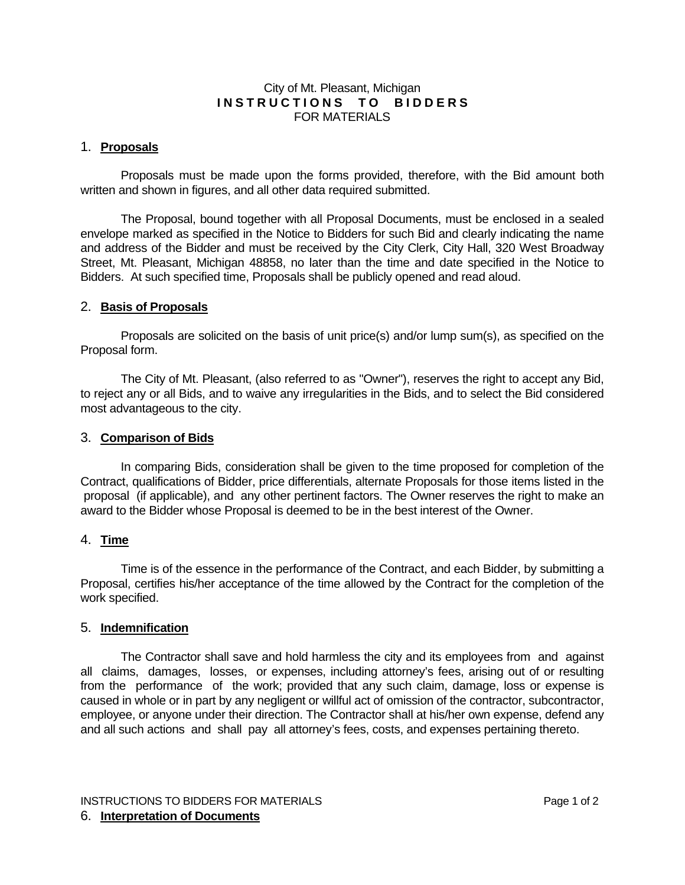### City of Mt. Pleasant, Michigan **INSTRUCTIONS TO BIDDERS** FOR MATERIALS

#### 1. **Proposals**

 Proposals must be made upon the forms provided, therefore, with the Bid amount both written and shown in figures, and all other data required submitted.

 The Proposal, bound together with all Proposal Documents, must be enclosed in a sealed envelope marked as specified in the Notice to Bidders for such Bid and clearly indicating the name and address of the Bidder and must be received by the City Clerk, City Hall, 320 West Broadway Street, Mt. Pleasant, Michigan 48858, no later than the time and date specified in the Notice to Bidders. At such specified time, Proposals shall be publicly opened and read aloud.

#### 2. **Basis of Proposals**

 Proposals are solicited on the basis of unit price(s) and/or lump sum(s), as specified on the Proposal form.

 The City of Mt. Pleasant, (also referred to as "Owner"), reserves the right to accept any Bid, to reject any or all Bids, and to waive any irregularities in the Bids, and to select the Bid considered most advantageous to the city.

#### 3. **Comparison of Bids**

 In comparing Bids, consideration shall be given to the time proposed for completion of the Contract, qualifications of Bidder, price differentials, alternate Proposals for those items listed in the proposal (if applicable), and any other pertinent factors. The Owner reserves the right to make an award to the Bidder whose Proposal is deemed to be in the best interest of the Owner.

#### 4. **Time**

 Time is of the essence in the performance of the Contract, and each Bidder, by submitting a Proposal, certifies his/her acceptance of the time allowed by the Contract for the completion of the work specified.

#### 5. **Indemnification**

 The Contractor shall save and hold harmless the city and its employees from and against all claims, damages, losses, or expenses, including attorney's fees, arising out of or resulting from the performance of the work; provided that any such claim, damage, loss or expense is caused in whole or in part by any negligent or willful act of omission of the contractor, subcontractor, employee, or anyone under their direction. The Contractor shall at his/her own expense, defend any and all such actions and shall pay all attorney's fees, costs, and expenses pertaining thereto.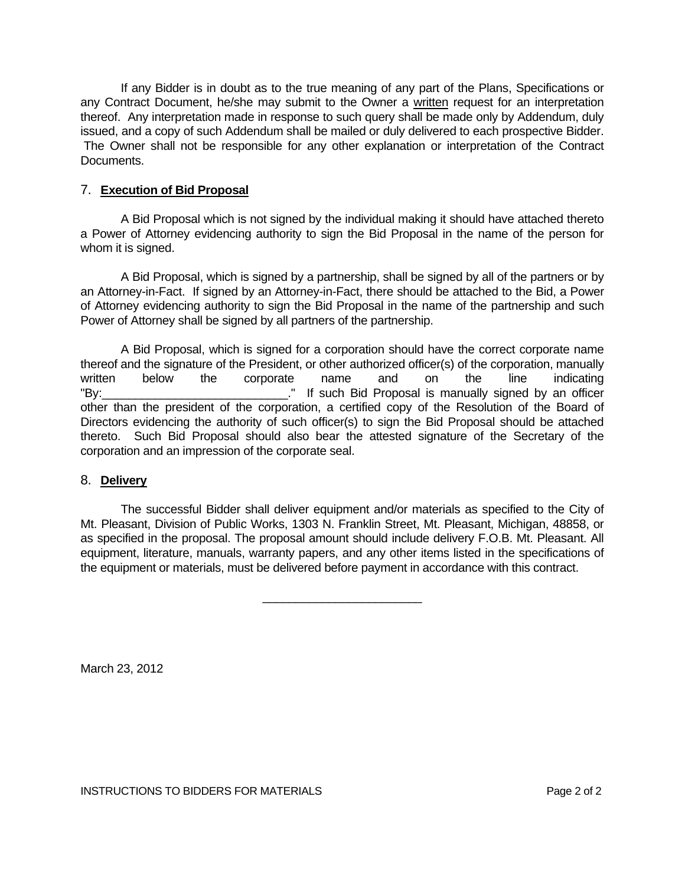If any Bidder is in doubt as to the true meaning of any part of the Plans, Specifications or any Contract Document, he/she may submit to the Owner a written request for an interpretation thereof. Any interpretation made in response to such query shall be made only by Addendum, duly issued, and a copy of such Addendum shall be mailed or duly delivered to each prospective Bidder. The Owner shall not be responsible for any other explanation or interpretation of the Contract Documents.

### 7. **Execution of Bid Proposal**

 A Bid Proposal which is not signed by the individual making it should have attached thereto a Power of Attorney evidencing authority to sign the Bid Proposal in the name of the person for whom it is signed.

 A Bid Proposal, which is signed by a partnership, shall be signed by all of the partners or by an Attorney-in-Fact. If signed by an Attorney-in-Fact, there should be attached to the Bid, a Power of Attorney evidencing authority to sign the Bid Proposal in the name of the partnership and such Power of Attorney shall be signed by all partners of the partnership.

 A Bid Proposal, which is signed for a corporation should have the correct corporate name thereof and the signature of the President, or other authorized officer(s) of the corporation, manually written below the corporate name and on the line indicating "By: The such Bid Proposal is manually signed by an officer other than the president of the corporation, a certified copy of the Resolution of the Board of Directors evidencing the authority of such officer(s) to sign the Bid Proposal should be attached thereto. Such Bid Proposal should also bear the attested signature of the Secretary of the corporation and an impression of the corporate seal.

#### 8. **Delivery**

 The successful Bidder shall deliver equipment and/or materials as specified to the City of Mt. Pleasant, Division of Public Works, 1303 N. Franklin Street, Mt. Pleasant, Michigan, 48858, or as specified in the proposal. The proposal amount should include delivery F.O.B. Mt. Pleasant. All equipment, literature, manuals, warranty papers, and any other items listed in the specifications of the equipment or materials, must be delivered before payment in accordance with this contract.

March 23, 2012

 $\frac{1}{\sqrt{2}}$  , which is a set of  $\frac{1}{\sqrt{2}}$  , which is a set of  $\frac{1}{\sqrt{2}}$  , which is a set of  $\frac{1}{\sqrt{2}}$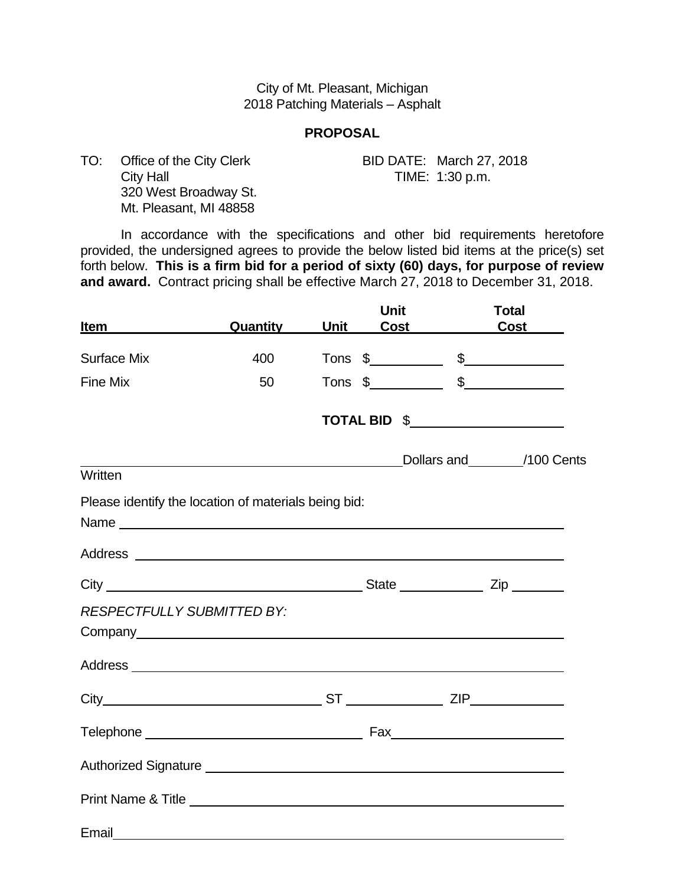### City of Mt. Pleasant, Michigan 2018 Patching Materials – Asphalt

### **PROPOSAL**

TO: Office of the City Clerk BID DATE: March 27, 2018 City Hall **City Hall TIME:** 1:30 p.m. 320 West Broadway St. Mt. Pleasant, MI 48858

 In accordance with the specifications and other bid requirements heretofore provided, the undersigned agrees to provide the below listed bid items at the price(s) set forth below. **This is a firm bid for a period of sixty (60) days, for purpose of review and award.** Contract pricing shall be effective March 27, 2018 to December 31, 2018.

| <b>Item</b>                       | Quantity                                                                                                             | <b>Unit</b> | <b>Unit</b><br><b>Cost</b> | <b>Total</b><br>$\overline{\text{Cost}}$                                                                                                                                                                                                                                                                               |
|-----------------------------------|----------------------------------------------------------------------------------------------------------------------|-------------|----------------------------|------------------------------------------------------------------------------------------------------------------------------------------------------------------------------------------------------------------------------------------------------------------------------------------------------------------------|
| <b>Surface Mix</b>                | 400                                                                                                                  |             |                            |                                                                                                                                                                                                                                                                                                                        |
| <b>Fine Mix</b>                   | 50                                                                                                                   |             |                            | Tons $\frac{2}{1}$ $\frac{2}{1}$ $\frac{2}{1}$ $\frac{2}{1}$ $\frac{2}{1}$ $\frac{2}{1}$ $\frac{2}{1}$ $\frac{2}{1}$ $\frac{2}{1}$ $\frac{2}{1}$ $\frac{2}{1}$ $\frac{2}{1}$ $\frac{2}{1}$ $\frac{2}{1}$ $\frac{2}{1}$ $\frac{2}{1}$ $\frac{2}{1}$ $\frac{2}{1}$ $\frac{2}{1}$ $\frac{2}{1}$ $\frac{2}{1}$ $\frac{2}{$ |
|                                   |                                                                                                                      |             |                            | Tons $\frac{2}{3}$ $\frac{2}{3}$ $\frac{2}{3}$ $\frac{2}{3}$ $\frac{2}{3}$ $\frac{2}{3}$ $\frac{2}{3}$ $\frac{2}{3}$ $\frac{2}{3}$ $\frac{2}{3}$ $\frac{2}{3}$ $\frac{2}{3}$ $\frac{2}{3}$ $\frac{2}{3}$ $\frac{2}{3}$ $\frac{2}{3}$ $\frac{2}{3}$ $\frac{2}{3}$ $\frac{2}{3}$ $\frac{2}{3}$ $\frac{2}{3}$ $\frac{2}{$ |
|                                   |                                                                                                                      |             |                            | TOTAL BID \$                                                                                                                                                                                                                                                                                                           |
|                                   | <u> 1989 - Johann Barn, mars ar breithinn ar breithinn ar breithinn ar breithinn ar breithinn ar breithinn ar br</u> |             |                            | Dollars and 100 Cents                                                                                                                                                                                                                                                                                                  |
| Written                           |                                                                                                                      |             |                            |                                                                                                                                                                                                                                                                                                                        |
|                                   | Please identify the location of materials being bid:                                                                 |             |                            |                                                                                                                                                                                                                                                                                                                        |
|                                   |                                                                                                                      |             |                            |                                                                                                                                                                                                                                                                                                                        |
|                                   |                                                                                                                      |             |                            |                                                                                                                                                                                                                                                                                                                        |
| <b>RESPECTFULLY SUBMITTED BY:</b> |                                                                                                                      |             |                            |                                                                                                                                                                                                                                                                                                                        |
|                                   |                                                                                                                      |             |                            |                                                                                                                                                                                                                                                                                                                        |
|                                   |                                                                                                                      |             |                            |                                                                                                                                                                                                                                                                                                                        |
|                                   |                                                                                                                      |             |                            |                                                                                                                                                                                                                                                                                                                        |
|                                   |                                                                                                                      |             |                            |                                                                                                                                                                                                                                                                                                                        |
|                                   |                                                                                                                      |             |                            |                                                                                                                                                                                                                                                                                                                        |
|                                   |                                                                                                                      |             |                            |                                                                                                                                                                                                                                                                                                                        |
| Email                             |                                                                                                                      |             |                            |                                                                                                                                                                                                                                                                                                                        |